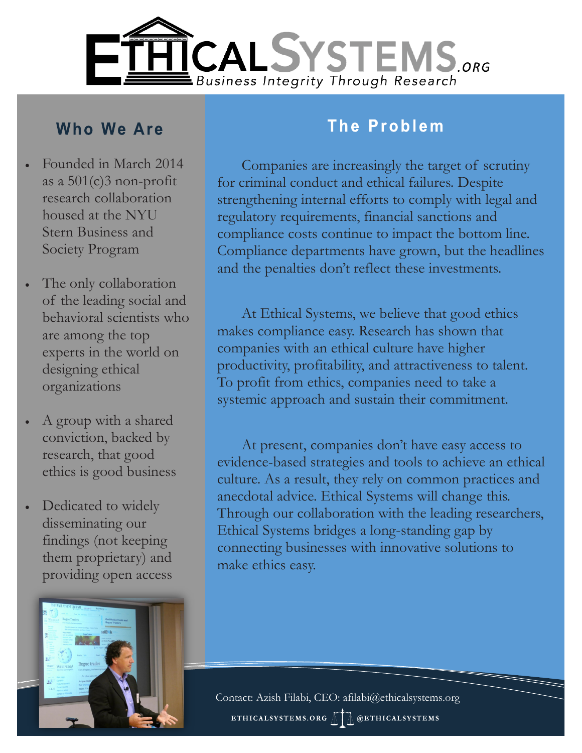

## **Who We Are**

- Founded in March 2014 as a 501(c)3 non-profit research collaboration housed at the NYU Stern Business and Society Program
- The only collaboration of the leading social and behavioral scientists who are among the top experts in the world on designing ethical organizations
- A group with a shared conviction, backed by research, that good ethics is good business
- Dedicated to widely disseminating our findings (not keeping them proprietary) and providing open access



#### The Problem

Companies are increasingly the target of scrutiny for criminal conduct and ethical failures. Despite strengthening internal efforts to comply with legal and regulatory requirements, financial sanctions and compliance costs continue to impact the bottom line. Compliance departments have grown, but the headlines and the penalties don't reflect these investments.

At Ethical Systems, we believe that good ethics makes compliance easy. Research has shown that companies with an ethical culture have higher productivity, profitability, and attractiveness to talent. To profit from ethics, companies need to take a systemic approach and sustain their commitment.

At present, companies don't have easy access to evidence-based strategies and tools to achieve an ethical culture. As a result, they rely on common practices and anecdotal advice. Ethical Systems will change this. Through our collaboration with the leading researchers, Ethical Systems bridges a long-standing gap by connecting businesses with innovative solutions to make ethics easy.

Contact: Azish Filabi, CEO: afilabi@ethicalsystems.org ETHICALSYSTEMS.ORG MAG @ETHICALSYSTEMS